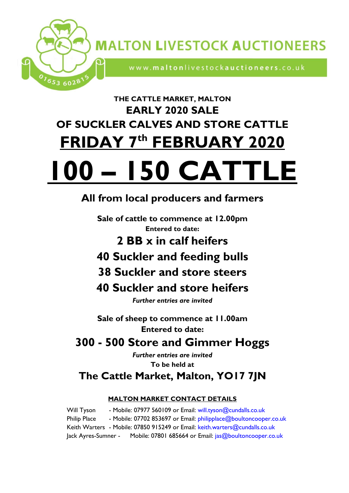

www.maltonlivestockauctioneers.co.uk

# **THE CATTLE MARKET, MALTON EARLY 2020 SALE OF SUCKLER CALVES AND STORE CATTLE FRIDAY 7 th FEBRUARY 2020**

653 6028

# **100 – 150 CAT**

# **All from local producers and farmers**

**Sale of cattle to commence at 12.00pm Entered to date:**

**2 BB x in calf heifers** 

- **40 Suckler and feeding bulls**
- **38 Suckler and store steers**

# **40 Suckler and store heifers**

*Further entries are invited* 

**Sale of sheep to commence at 11.00am Entered to date:**

# **300 - 500 Store and Gimmer Hoggs**

*Further entries are invited*  **To be held at The Cattle Market, Malton, YO17 7JN**

## **MALTON MARKET CONTACT DETAILS**

Will Tyson - Mobile: 07977 560109 or Email: [will.tyson@cundalls.co.uk](mailto:will.tyson@cundalls.co.uk) Philip Place - Mobile: 07702 853697 or Email: [philipplace@boultoncooper.co.uk](mailto:philipplace@boultoncooper.co.uk) Keith Warters - Mobile: 07850 915249 or Email: [keith.warters@cundalls.co.uk](mailto:keith.warters@cundalls.co.uk) Jack Ayres-Sumner - Mobile: 07801 685664 or Email: jas@boultoncooper.co.uk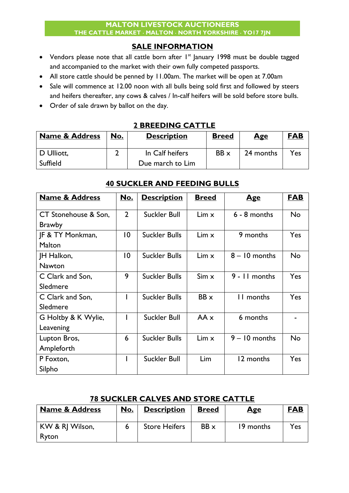## **SALE INFORMATION**

- Vendors please note that all cattle born after  $I<sup>st</sup>$  January 1998 must be double tagged and accompanied to the market with their own fully competed passports.
- All store cattle should be penned by 11.00am. The market will be open at 7.00am
- Sale will commence at 12.00 noon with all bulls being sold first and followed by steers and heifers thereafter, any cows & calves / In-calf heifers will be sold before store bulls.
- Order of sale drawn by ballot on the day.

## **2 BREEDING CATTLE**

| <b>Name &amp; Address</b> | No. | <b>Description</b> | <b>Breed</b> | <u>Age</u> | <b>FAB</b>      |
|---------------------------|-----|--------------------|--------------|------------|-----------------|
| D Ulliott,                |     | In Calf heifers    | $BB \times$  | 24 months  | $Y_{\text{es}}$ |
| Suffield                  |     | Due march to Lim   |              |            |                 |

## **40 SUCKLER AND FEEDING BULLS**

| <b>Name &amp; Address</b>   | <u>No.</u>     | <b>Description</b>   | <b>Breed</b> | <u>Age</u>      | <b>FAB</b> |
|-----------------------------|----------------|----------------------|--------------|-----------------|------------|
|                             |                |                      |              |                 |            |
| CT Stonehouse & Son,        | $\overline{2}$ | <b>Suckler Bull</b>  | $Lim \times$ | $6 - 8$ months  | <b>No</b>  |
| <b>Brawby</b>               |                |                      |              |                 |            |
| <b>JF &amp; TY Monkman,</b> | $\overline{0}$ | <b>Suckler Bulls</b> | $Lim \times$ | 9 months        | Yes        |
| Malton                      |                |                      |              |                 |            |
| JH Halkon,                  | $\overline{0}$ | <b>Suckler Bulls</b> | Lim x        | $8 - 10$ months | <b>No</b>  |
| <b>Nawton</b>               |                |                      |              |                 |            |
| C Clark and Son,            | 9              | <b>Suckler Bulls</b> | $Sim \times$ | 9 - 11 months   | Yes        |
| Sledmere                    |                |                      |              |                 |            |
| C Clark and Son,            |                | <b>Suckler Bulls</b> | $BB \times$  | 11 months       | Yes        |
| Sledmere                    |                |                      |              |                 |            |
| G Holtby & K Wylie,         |                | <b>Suckler Bull</b>  | $AA \times$  | 6 months        |            |
| Leavening                   |                |                      |              |                 |            |
| Lupton Bros,                | 6              | <b>Suckler Bulls</b> | $Lim \times$ | $9 - 10$ months | <b>No</b>  |
| Ampleforth                  |                |                      |              |                 |            |
| P Foxton,                   |                | <b>Suckler Bull</b>  | Lim          | 12 months       | Yes        |
| Silpho                      |                |                      |              |                 |            |

## **78 SUCKLER CALVES AND STORE CATTLE**

| <b>Name &amp; Address</b> | No. | <b>Description</b>   | <b>Breed</b> | <u>Age</u> | <b>FAB</b>      |
|---------------------------|-----|----------------------|--------------|------------|-----------------|
| KW & RJ Wilson,           |     | <b>Store Heifers</b> | $BB \times$  | 19 months  | $Y_{\text{es}}$ |
| Ryton                     |     |                      |              |            |                 |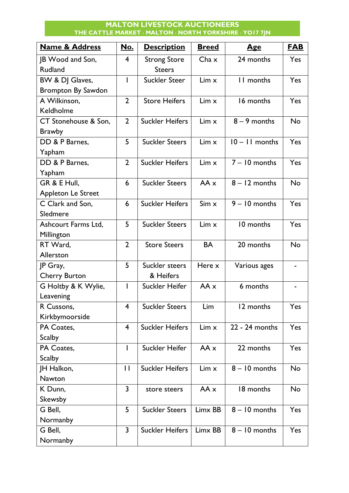### **MALTON LIVESTOCK AUCTIONEERS THE CATTLE MARKET MALTON NORTH YORKSHIRE YO17 7JN**

| <b>Name &amp; Address</b> | No.            | <b>Description</b>     | <b>Breed</b> | <u>Age</u>       | <b>FAB</b> |
|---------------------------|----------------|------------------------|--------------|------------------|------------|
| JB Wood and Son,          | 4              | <b>Strong Store</b>    | $Cha \times$ | 24 months        | <b>Yes</b> |
| <b>Rudland</b>            |                | <b>Steers</b>          |              |                  |            |
| BW & DJ Glaves,           |                | <b>Suckler Steer</b>   | $Lim \times$ | II months        | Yes        |
| <b>Brompton By Sawdon</b> |                |                        |              |                  |            |
| A Wilkinson,              | $\overline{2}$ | <b>Store Heifers</b>   | $Lim \times$ | 16 months        | Yes        |
| Keldholme                 |                |                        |              |                  |            |
| CT Stonehouse & Son,      | $\overline{2}$ | <b>Suckler Heifers</b> | $Lim \times$ | $8 - 9$ months   | <b>No</b>  |
| <b>Brawby</b>             |                |                        |              |                  |            |
| DD & P Barnes,            | 5              | <b>Suckler Steers</b>  | Lim x        | $10 - 11$ months | Yes        |
| Yapham                    |                |                        |              |                  |            |
| DD & P Barnes,            | $\overline{2}$ | <b>Suckler Heifers</b> | Lim x        | $7 - 10$ months  | Yes        |
| Yapham                    |                |                        |              |                  |            |
| GR & E Hull,              | 6              | <b>Suckler Steers</b>  | $AA \times$  | $8 - 12$ months  | <b>No</b>  |
| Appleton Le Street        |                |                        |              |                  |            |
| C Clark and Son,          | 6              | <b>Suckler Heifers</b> | Sim x        | $9 - 10$ months  | Yes        |
| Sledmere                  |                |                        |              |                  |            |
| Ashcourt Farms Ltd,       | 5              | <b>Suckler Steers</b>  | $Lim \times$ | 10 months        | Yes        |
| Millington                |                |                        |              |                  |            |
| RT Ward,                  | $\overline{2}$ | <b>Store Steers</b>    | <b>BA</b>    | 20 months        | <b>No</b>  |
| Allerston                 |                |                        |              |                  |            |
| JP Gray,                  | 5              | Suckler steers         | Here x       | Various ages     |            |
| <b>Cherry Burton</b>      |                | & Heifers              |              |                  |            |
| G Holtby & K Wylie,       |                | Suckler Heifer         | $AA \times$  | 6 months         |            |
| Leavening                 |                |                        |              |                  |            |
| R Cussons,                | 4              | <b>Suckler Steers</b>  | Lim          | 12 months        | Yes        |
| Kirkbymoorside            |                |                        |              |                  |            |
| PA Coates,                | $\overline{4}$ | <b>Suckler Heifers</b> | $Lim \times$ | 22 - 24 months   | Yes        |
| <b>Scalby</b>             |                |                        |              |                  |            |
| PA Coates,                |                | Suckler Heifer         | $AA \times$  | 22 months        | Yes        |
| <b>Scalby</b>             |                |                        |              |                  |            |
| JH Halkon,                | $\mathbf{H}$   | <b>Suckler Heifers</b> | $Lim \times$ | $8 - 10$ months  | No         |
| <b>Nawton</b>             |                |                        |              |                  |            |
| K Dunn,                   | $\overline{3}$ | store steers           | $AA \times$  | 18 months        | No         |
| Skewsby                   |                |                        |              |                  |            |
| G Bell,                   | 5              | <b>Suckler Steers</b>  | Limx BB      | $8 - 10$ months  | Yes        |
| Normanby                  |                |                        |              |                  |            |
| G Bell,                   | $\overline{3}$ | <b>Suckler Heifers</b> | Limx BB      | $8 - 10$ months  | Yes        |
| Normanby                  |                |                        |              |                  |            |